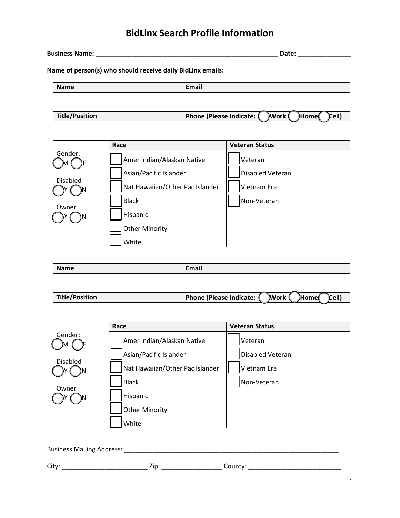# **BidLinx Search Profile Information**

**Business Name:** \_\_\_\_\_\_\_\_\_\_\_\_\_\_\_\_\_\_\_\_\_\_\_\_\_\_\_\_\_\_\_\_\_\_\_\_\_\_\_\_\_\_\_\_\_\_\_\_\_\_\_ **Date:** \_\_\_\_\_\_\_\_\_\_\_\_\_\_\_

**Name of person(s) who should receive daily BidLinx emails:**

| <b>Name</b>           |                                                                                                         | <b>Email</b>                                                  |                                        |
|-----------------------|---------------------------------------------------------------------------------------------------------|---------------------------------------------------------------|----------------------------------------|
|                       |                                                                                                         |                                                               |                                        |
| <b>Title/Position</b> |                                                                                                         | )Work (<br>Cell)<br>Phone (Please Indicate: (<br><b>Home(</b> |                                        |
|                       |                                                                                                         |                                                               |                                        |
|                       | Race                                                                                                    |                                                               | <b>Veteran Status</b>                  |
| Gender:               | Amer Indian/Alaskan Native<br>Asian/Pacific Islander<br>Nat Hawaiian/Other Pac Islander<br><b>Black</b> |                                                               | Veteran                                |
|                       |                                                                                                         |                                                               | <b>Disabled Veteran</b><br>Vietnam Era |
| <b>Disabled</b>       |                                                                                                         |                                                               |                                        |
| Owner                 |                                                                                                         |                                                               | Non-Veteran                            |
|                       | Hispanic                                                                                                |                                                               |                                        |
|                       | <b>Other Minority</b>                                                                                   |                                                               |                                        |
|                       | White                                                                                                   |                                                               |                                        |

| <b>Name</b>            |                                 | <b>Email</b>            |                           |
|------------------------|---------------------------------|-------------------------|---------------------------|
| <b>Title/Position</b>  |                                 | Phone (Please Indicate: | Work (<br>Cell)<br>)Home( |
|                        |                                 |                         |                           |
|                        | Race                            |                         | <b>Veteran Status</b>     |
| Gender:                | Amer Indian/Alaskan Native      |                         | Veteran                   |
| Asian/Pacific Islander |                                 |                         | Disabled Veteran          |
| <b>Disabled</b>        | Nat Hawaiian/Other Pac Islander |                         | Vietnam Era               |
|                        | <b>Black</b>                    |                         | Non-Veteran               |
| Owner                  | Hispanic                        |                         |                           |
|                        | <b>Other Minority</b>           |                         |                           |
|                        | White                           |                         |                           |

Business Mailing Address: \_\_\_\_\_\_\_\_\_\_\_\_\_\_\_\_\_\_\_\_\_\_\_\_\_\_\_\_\_\_\_\_\_\_\_\_\_\_\_\_\_\_\_\_\_\_\_\_\_\_\_\_\_\_\_\_\_\_\_\_

City: \_\_\_\_\_\_\_\_\_\_\_\_\_\_\_\_\_\_\_\_\_\_\_\_ Zip: \_\_\_\_\_\_\_\_\_\_\_\_\_\_\_\_\_ County: \_\_\_\_\_\_\_\_\_\_\_\_\_\_\_\_\_\_\_\_\_\_\_\_\_\_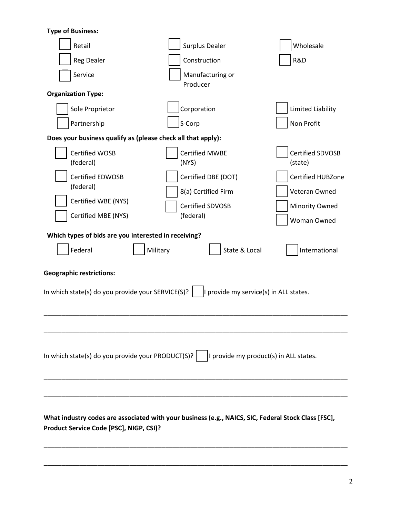**Type of Business:**

| Retail                                                                                                                                         | <b>Surplus Dealer</b>          | Wholesale                      |  |  |  |  |
|------------------------------------------------------------------------------------------------------------------------------------------------|--------------------------------|--------------------------------|--|--|--|--|
| <b>Reg Dealer</b>                                                                                                                              | Construction                   | R&D                            |  |  |  |  |
| Service                                                                                                                                        | Manufacturing or<br>Producer   |                                |  |  |  |  |
| <b>Organization Type:</b>                                                                                                                      |                                |                                |  |  |  |  |
| Sole Proprietor                                                                                                                                | Corporation                    | Limited Liability              |  |  |  |  |
| Partnership                                                                                                                                    | S-Corp                         | Non Profit                     |  |  |  |  |
| Does your business qualify as (please check all that apply):                                                                                   |                                |                                |  |  |  |  |
| Certified WOSB<br>(federal)                                                                                                                    | <b>Certified MWBE</b><br>(NYS) | Certified SDVOSB<br>(state)    |  |  |  |  |
| <b>Certified EDWOSB</b><br>(federal)                                                                                                           | Certified DBE (DOT)            | Certified HUBZone              |  |  |  |  |
| Certified WBE (NYS)                                                                                                                            | 8(a) Certified Firm            | Veteran Owned                  |  |  |  |  |
| Certified MBE (NYS)                                                                                                                            | Certified SDVOSB<br>(federal)  | <b>Minority Owned</b>          |  |  |  |  |
| Woman Owned                                                                                                                                    |                                |                                |  |  |  |  |
| Which types of bids are you interested in receiving?                                                                                           |                                |                                |  |  |  |  |
| Federal                                                                                                                                        | Military                       | State & Local<br>International |  |  |  |  |
| <b>Geographic restrictions:</b><br>In which state(s) do you provide your SERVICE(S)?<br>provide my service(s) in ALL states.                   |                                |                                |  |  |  |  |
|                                                                                                                                                |                                |                                |  |  |  |  |
| I provide my product(s) in ALL states.<br>In which state(s) do you provide your PRODUCT(S)?                                                    |                                |                                |  |  |  |  |
|                                                                                                                                                |                                |                                |  |  |  |  |
| What industry codes are associated with your business (e.g., NAICS, SIC, Federal Stock Class [FSC],<br>Product Service Code [PSC], NIGP, CSI)? |                                |                                |  |  |  |  |

**\_\_\_\_\_\_\_\_\_\_\_\_\_\_\_\_\_\_\_\_\_\_\_\_\_\_\_\_\_\_\_\_\_\_\_\_\_\_\_\_\_\_\_\_\_\_\_\_\_\_\_\_\_\_\_\_\_\_\_\_\_\_\_\_\_\_\_\_\_\_\_\_\_\_\_\_\_\_\_\_\_\_\_\_\_**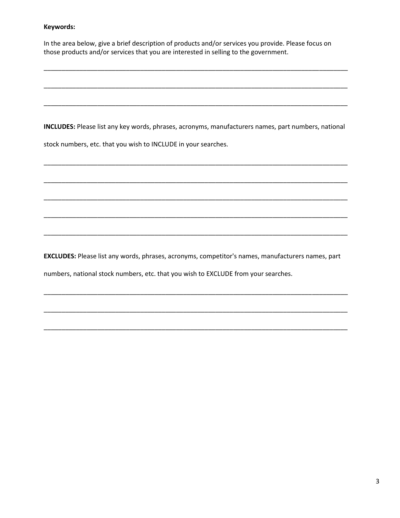## **Keywords:**

In the area below, give a brief description of products and/or services you provide. Please focus on those products and/or services that you are interested in selling to the government.

\_\_\_\_\_\_\_\_\_\_\_\_\_\_\_\_\_\_\_\_\_\_\_\_\_\_\_\_\_\_\_\_\_\_\_\_\_\_\_\_\_\_\_\_\_\_\_\_\_\_\_\_\_\_\_\_\_\_\_\_\_\_\_\_\_\_\_\_\_\_\_\_\_\_\_\_\_\_\_\_\_\_\_\_\_

\_\_\_\_\_\_\_\_\_\_\_\_\_\_\_\_\_\_\_\_\_\_\_\_\_\_\_\_\_\_\_\_\_\_\_\_\_\_\_\_\_\_\_\_\_\_\_\_\_\_\_\_\_\_\_\_\_\_\_\_\_\_\_\_\_\_\_\_\_\_\_\_\_\_\_\_\_\_\_\_\_\_\_\_\_

\_\_\_\_\_\_\_\_\_\_\_\_\_\_\_\_\_\_\_\_\_\_\_\_\_\_\_\_\_\_\_\_\_\_\_\_\_\_\_\_\_\_\_\_\_\_\_\_\_\_\_\_\_\_\_\_\_\_\_\_\_\_\_\_\_\_\_\_\_\_\_\_\_\_\_\_\_\_\_\_\_\_\_\_\_

**INCLUDES:** Please list any key words, phrases, acronyms, manufacturers names, part numbers, national

\_\_\_\_\_\_\_\_\_\_\_\_\_\_\_\_\_\_\_\_\_\_\_\_\_\_\_\_\_\_\_\_\_\_\_\_\_\_\_\_\_\_\_\_\_\_\_\_\_\_\_\_\_\_\_\_\_\_\_\_\_\_\_\_\_\_\_\_\_\_\_\_\_\_\_\_\_\_\_\_\_\_\_\_\_

\_\_\_\_\_\_\_\_\_\_\_\_\_\_\_\_\_\_\_\_\_\_\_\_\_\_\_\_\_\_\_\_\_\_\_\_\_\_\_\_\_\_\_\_\_\_\_\_\_\_\_\_\_\_\_\_\_\_\_\_\_\_\_\_\_\_\_\_\_\_\_\_\_\_\_\_\_\_\_\_\_\_\_\_\_

\_\_\_\_\_\_\_\_\_\_\_\_\_\_\_\_\_\_\_\_\_\_\_\_\_\_\_\_\_\_\_\_\_\_\_\_\_\_\_\_\_\_\_\_\_\_\_\_\_\_\_\_\_\_\_\_\_\_\_\_\_\_\_\_\_\_\_\_\_\_\_\_\_\_\_\_\_\_\_\_\_\_\_\_\_

\_\_\_\_\_\_\_\_\_\_\_\_\_\_\_\_\_\_\_\_\_\_\_\_\_\_\_\_\_\_\_\_\_\_\_\_\_\_\_\_\_\_\_\_\_\_\_\_\_\_\_\_\_\_\_\_\_\_\_\_\_\_\_\_\_\_\_\_\_\_\_\_\_\_\_\_\_\_\_\_\_\_\_\_\_

\_\_\_\_\_\_\_\_\_\_\_\_\_\_\_\_\_\_\_\_\_\_\_\_\_\_\_\_\_\_\_\_\_\_\_\_\_\_\_\_\_\_\_\_\_\_\_\_\_\_\_\_\_\_\_\_\_\_\_\_\_\_\_\_\_\_\_\_\_\_\_\_\_\_\_\_\_\_\_\_\_\_\_\_\_

stock numbers, etc. that you wish to INCLUDE in your searches.

**EXCLUDES:** Please list any words, phrases, acronyms, competitor's names, manufacturers names, part

\_\_\_\_\_\_\_\_\_\_\_\_\_\_\_\_\_\_\_\_\_\_\_\_\_\_\_\_\_\_\_\_\_\_\_\_\_\_\_\_\_\_\_\_\_\_\_\_\_\_\_\_\_\_\_\_\_\_\_\_\_\_\_\_\_\_\_\_\_\_\_\_\_\_\_\_\_\_\_\_\_\_\_\_\_

\_\_\_\_\_\_\_\_\_\_\_\_\_\_\_\_\_\_\_\_\_\_\_\_\_\_\_\_\_\_\_\_\_\_\_\_\_\_\_\_\_\_\_\_\_\_\_\_\_\_\_\_\_\_\_\_\_\_\_\_\_\_\_\_\_\_\_\_\_\_\_\_\_\_\_\_\_\_\_\_\_\_\_\_\_

\_\_\_\_\_\_\_\_\_\_\_\_\_\_\_\_\_\_\_\_\_\_\_\_\_\_\_\_\_\_\_\_\_\_\_\_\_\_\_\_\_\_\_\_\_\_\_\_\_\_\_\_\_\_\_\_\_\_\_\_\_\_\_\_\_\_\_\_\_\_\_\_\_\_\_\_\_\_\_\_\_\_\_\_\_

numbers, national stock numbers, etc. that you wish to EXCLUDE from your searches.